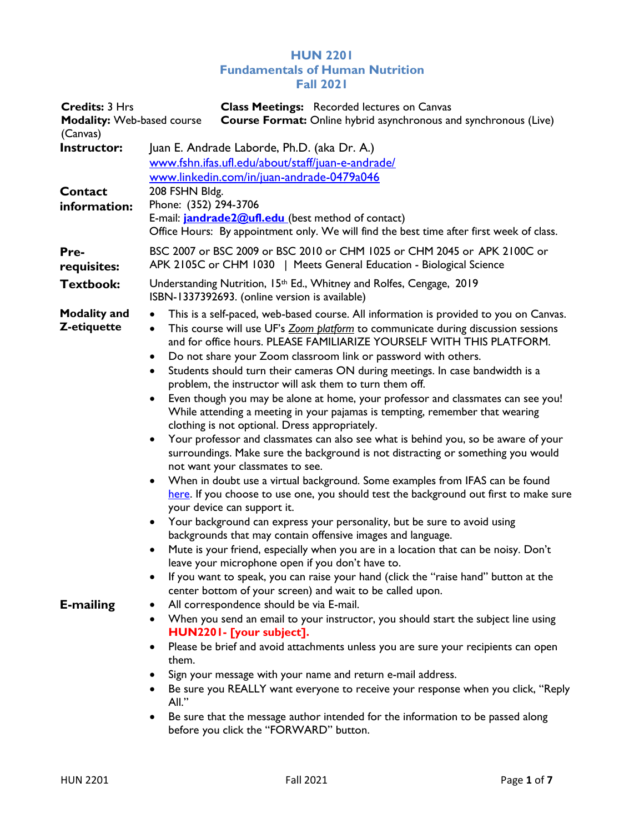## HUN 2201 Fundamentals of Human Nutrition Fall 2021

| <b>Credits: 3 Hrs</b><br><b>Modality: Web-based course</b><br>(Canvas) | <b>Class Meetings:</b> Recorded lectures on Canvas<br><b>Course Format:</b> Online hybrid asynchronous and synchronous (Live)                                                                                                                                                                                                                                                                                                                                                                                                                                                                                                                                                                                                                                                                                                                                                                                                                                                                                                                                                                                                                                                                                                                                                                                                                                                                                                                                                                                                                                                                                                                      |  |  |  |
|------------------------------------------------------------------------|----------------------------------------------------------------------------------------------------------------------------------------------------------------------------------------------------------------------------------------------------------------------------------------------------------------------------------------------------------------------------------------------------------------------------------------------------------------------------------------------------------------------------------------------------------------------------------------------------------------------------------------------------------------------------------------------------------------------------------------------------------------------------------------------------------------------------------------------------------------------------------------------------------------------------------------------------------------------------------------------------------------------------------------------------------------------------------------------------------------------------------------------------------------------------------------------------------------------------------------------------------------------------------------------------------------------------------------------------------------------------------------------------------------------------------------------------------------------------------------------------------------------------------------------------------------------------------------------------------------------------------------------------|--|--|--|
| Instructor:<br>Contact<br>information:                                 | Juan E. Andrade Laborde, Ph.D. (aka Dr. A.)<br>www.fshn.ifas.ufl.edu/about/staff/juan-e-andrade/<br>www.linkedin.com/in/juan-andrade-0479a046<br>208 FSHN Bldg.<br>Phone: (352) 294-3706<br>E-mail: <b>jandrade2@ufl.edu</b> (best method of contact)<br>Office Hours: By appointment only. We will find the best time after first week of class.                                                                                                                                                                                                                                                                                                                                                                                                                                                                                                                                                                                                                                                                                                                                                                                                                                                                                                                                                                                                                                                                                                                                                                                                                                                                                                  |  |  |  |
| Pre-<br>requisites:                                                    | BSC 2007 or BSC 2009 or BSC 2010 or CHM 1025 or CHM 2045 or APK 2100C or<br>APK 2105C or CHM 1030   Meets General Education - Biological Science                                                                                                                                                                                                                                                                                                                                                                                                                                                                                                                                                                                                                                                                                                                                                                                                                                                                                                                                                                                                                                                                                                                                                                                                                                                                                                                                                                                                                                                                                                   |  |  |  |
| <b>Textbook:</b>                                                       | Understanding Nutrition, 15 <sup>th</sup> Ed., Whitney and Rolfes, Cengage, 2019<br>ISBN-1337392693. (online version is available)                                                                                                                                                                                                                                                                                                                                                                                                                                                                                                                                                                                                                                                                                                                                                                                                                                                                                                                                                                                                                                                                                                                                                                                                                                                                                                                                                                                                                                                                                                                 |  |  |  |
| <b>Modality and</b><br>Z-etiquette                                     | This is a self-paced, web-based course. All information is provided to you on Canvas.<br>$\bullet$<br>This course will use UF's Zoom platform to communicate during discussion sessions<br>$\bullet$<br>and for office hours. PLEASE FAMILIARIZE YOURSELF WITH THIS PLATFORM.<br>Do not share your Zoom classroom link or password with others.<br>$\bullet$<br>Students should turn their cameras ON during meetings. In case bandwidth is a<br>$\bullet$<br>problem, the instructor will ask them to turn them off.<br>Even though you may be alone at home, your professor and classmates can see you!<br>While attending a meeting in your pajamas is tempting, remember that wearing<br>clothing is not optional. Dress appropriately.<br>Your professor and classmates can also see what is behind you, so be aware of your<br>$\bullet$<br>surroundings. Make sure the background is not distracting or something you would<br>not want your classmates to see.<br>When in doubt use a virtual background. Some examples from IFAS can be found<br>$\bullet$<br>here. If you choose to use one, you should test the background out first to make sure<br>your device can support it.<br>Your background can express your personality, but be sure to avoid using<br>$\bullet$<br>backgrounds that may contain offensive images and language.<br>Mute is your friend, especially when you are in a location that can be noisy. Don't<br>leave your microphone open if you don't have to.<br>If you want to speak, you can raise your hand (click the "raise hand" button at the<br>center bottom of your screen) and wait to be called upon. |  |  |  |
| <b>E-mailing</b>                                                       | All correspondence should be via E-mail.<br>$\bullet$<br>When you send an email to your instructor, you should start the subject line using<br>$\bullet$<br>HUN2201- [your subject].                                                                                                                                                                                                                                                                                                                                                                                                                                                                                                                                                                                                                                                                                                                                                                                                                                                                                                                                                                                                                                                                                                                                                                                                                                                                                                                                                                                                                                                               |  |  |  |
|                                                                        | Please be brief and avoid attachments unless you are sure your recipients can open<br>$\bullet$<br>them.<br>Sign your message with your name and return e-mail address.<br>Be sure you REALLY want everyone to receive your response when you click, "Reply<br>All."                                                                                                                                                                                                                                                                                                                                                                                                                                                                                                                                                                                                                                                                                                                                                                                                                                                                                                                                                                                                                                                                                                                                                                                                                                                                                                                                                                               |  |  |  |
|                                                                        | Be sure that the message author intended for the information to be passed along<br>before you click the "FORWARD" button.                                                                                                                                                                                                                                                                                                                                                                                                                                                                                                                                                                                                                                                                                                                                                                                                                                                                                                                                                                                                                                                                                                                                                                                                                                                                                                                                                                                                                                                                                                                          |  |  |  |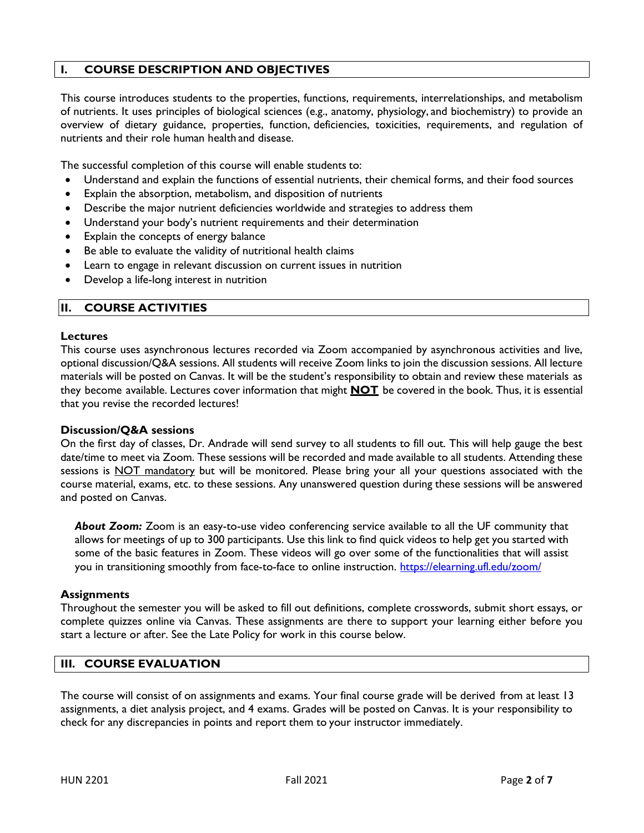## I. COURSE DESCRIPTION AND OBJECTIVES

This course introduces students to the properties, functions, requirements, interrelationships, and metabolism of nutrients. It uses principles of biological sciences (e.g., anatomy, physiology, and biochemistry) to provide an overview of dietary guidance, properties, function, deficiencies, toxicities, requirements, and regulation of nutrients and their role human health and disease.

The successful completion of this course will enable students to:

- Understand and explain the functions of essential nutrients, their chemical forms, and their food sources
- Explain the absorption, metabolism, and disposition of nutrients
- Describe the major nutrient deficiencies worldwide and strategies to address them
- Understand your body's nutrient requirements and their determination
- Explain the concepts of energy balance
- Be able to evaluate the validity of nutritional health claims
- Learn to engage in relevant discussion on current issues in nutrition
- Develop a life-long interest in nutrition

#### II. COURSE ACTIVITIES

#### **Lectures**

This course uses asynchronous lectures recorded via Zoom accompanied by asynchronous activities and live, optional discussion/Q&A sessions. All students will receive Zoom links to join the discussion sessions. All lecture materials will be posted on Canvas. It will be the student's responsibility to obtain and review these materials as they become available. Lectures cover information that might **NOT** be covered in the book. Thus, it is essential that you revise the recorded lectures!

#### Discussion/Q&A sessions

On the first day of classes, Dr. Andrade will send survey to all students to fill out. This will help gauge the best date/time to meet via Zoom. These sessions will be recorded and made available to all students. Attending these sessions is NOT mandatory but will be monitored. Please bring your all your questions associated with the course material, exams, etc. to these sessions. Any unanswered question during these sessions will be answered and posted on Canvas.

About Zoom: Zoom is an easy-to-use video conferencing service available to all the UF community that allows for meetings of up to 300 participants. Use this link to find quick videos to help get you started with some of the basic features in Zoom. These videos will go over some of the functionalities that will assist you in transitioning smoothly from face-to-face to online instruction. https://elearning.ufl.edu/zoom/

#### **Assignments**

Throughout the semester you will be asked to fill out definitions, complete crosswords, submit short essays, or complete quizzes online via Canvas. These assignments are there to support your learning either before you start a lecture or after. See the Late Policy for work in this course below.

#### III. COURSE EVALUATION

The course will consist of on assignments and exams. Your final course grade will be derived from at least 13 assignments, a diet analysis project, and 4 exams. Grades will be posted on Canvas. It is your responsibility to check for any discrepancies in points and report them to your instructor immediately.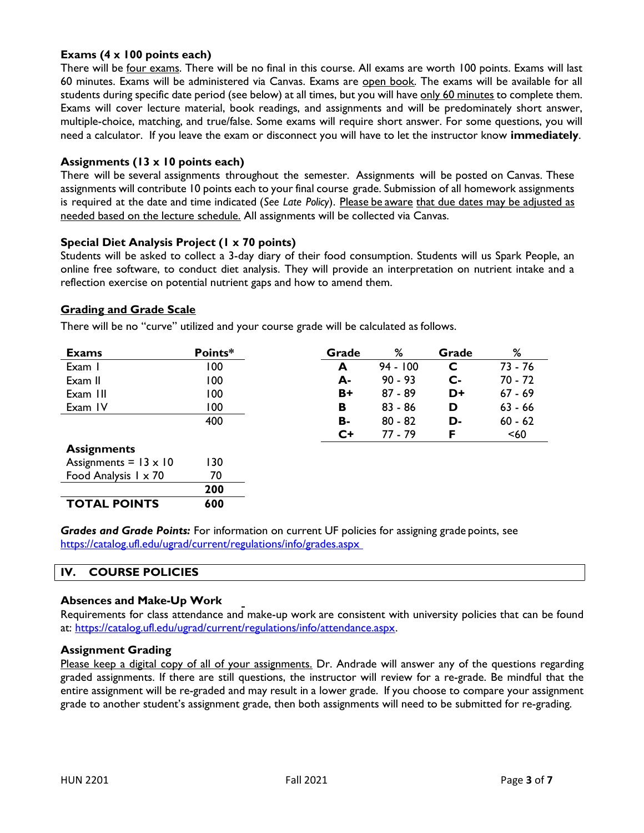## Exams (4 x 100 points each)

There will be four exams. There will be no final in this course. All exams are worth 100 points. Exams will last 60 minutes. Exams will be administered via Canvas. Exams are open book. The exams will be available for all students during specific date period (see below) at all times, but you will have only 60 minutes to complete them. Exams will cover lecture material, book readings, and assignments and will be predominately short answer, multiple-choice, matching, and true/false. Some exams will require short answer. For some questions, you will need a calculator. If you leave the exam or disconnect you will have to let the instructor know **immediately**.

### Assignments (13 x 10 points each)

There will be several assignments throughout the semester. Assignments will be posted on Canvas. These assignments will contribute 10 points each to your final course grade. Submission of all homework assignments is required at the date and time indicated (See Late Policy). Please be aware that due dates may be adjusted as needed based on the lecture schedule. All assignments will be collected via Canvas.

## Special Diet Analysis Project (1 x 70 points)

Students will be asked to collect a 3-day diary of their food consumption. Students will us Spark People, an online free software, to conduct diet analysis. They will provide an interpretation on nutrient intake and a reflection exercise on potential nutrient gaps and how to amend them.

## Grading and Grade Scale

There will be no "curve" utilized and your course grade will be calculated as follows.

| <b>Exams</b>                 | Points* | Grade | %          | Grade          | %         |
|------------------------------|---------|-------|------------|----------------|-----------|
| Exam I                       | 100     | A     | $94 - 100$ | C              | 73 - 76   |
| Exam II                      | 100     | А-    | $90 - 93$  | $\mathsf{C}$ - | 70 - 72   |
| Exam III                     | 100     | $B+$  | $87 - 89$  | D+             | $67 - 69$ |
| Exam IV                      | 100     | в     | $83 - 86$  | D              | $63 - 66$ |
|                              | 400     | В-    | $80 - 82$  | D-             | $60 - 62$ |
|                              |         | $C+$  | 77 - 79    | F              | $60$      |
| <b>Assignments</b>           |         |       |            |                |           |
| Assignments = $13 \times 10$ | 130     |       |            |                |           |
| Food Analysis $1 \times 70$  | 70      |       |            |                |           |
|                              | 200     |       |            |                |           |
| <b>TOTAL POINTS</b>          | 600     |       |            |                |           |

Grades and Grade Points: For information on current UF policies for assigning grade points, see https://catalog.ufl.edu/ugrad/current/regulations/info/grades.aspx

#### IV. COURSE POLICIES

#### Absences and Make-Up Work

Requirements for class attendance and make-up work are consistent with university policies that can be found at: https://catalog.ufl.edu/ugrad/current/regulations/info/attendance.aspx.

#### Assignment Grading

Please keep a digital copy of all of your assignments. Dr. Andrade will answer any of the questions regarding graded assignments. If there are still questions, the instructor will review for a re-grade. Be mindful that the entire assignment will be re-graded and may result in a lower grade. If you choose to compare your assignment grade to another student's assignment grade, then both assignments will need to be submitted for re-grading.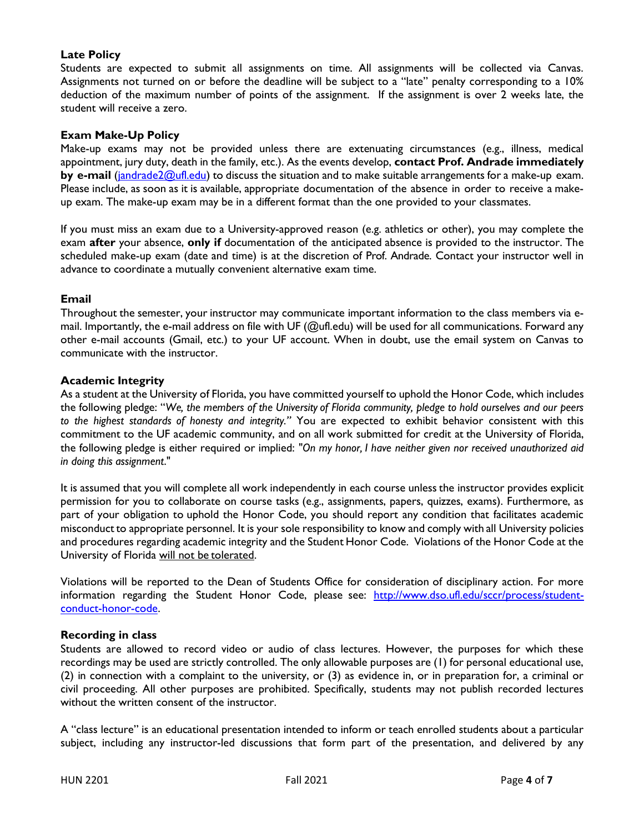## Late Policy

Students are expected to submit all assignments on time. All assignments will be collected via Canvas. Assignments not turned on or before the deadline will be subject to a "late" penalty corresponding to a 10% deduction of the maximum number of points of the assignment. If the assignment is over 2 weeks late, the student will receive a zero.

#### Exam Make-Up Policy

Make-up exams may not be provided unless there are extenuating circumstances (e.g., illness, medical appointment, jury duty, death in the family, etc.). As the events develop, contact Prof. Andrade immediately by e-mail (jandrade2@ufl.edu) to discuss the situation and to make suitable arrangements for a make-up exam. Please include, as soon as it is available, appropriate documentation of the absence in order to receive a makeup exam. The make-up exam may be in a different format than the one provided to your classmates.

If you must miss an exam due to a University-approved reason (e.g. athletics or other), you may complete the exam after your absence, only if documentation of the anticipated absence is provided to the instructor. The scheduled make-up exam (date and time) is at the discretion of Prof. Andrade. Contact your instructor well in advance to coordinate a mutually convenient alternative exam time.

#### Email

Throughout the semester, your instructor may communicate important information to the class members via email. Importantly, the e-mail address on file with UF (@ufl.edu) will be used for all communications. Forward any other e-mail accounts (Gmail, etc.) to your UF account. When in doubt, use the email system on Canvas to communicate with the instructor.

#### Academic Integrity

As a student at the University of Florida, you have committed yourself to uphold the Honor Code, which includes the following pledge: "We, the members of the University of Florida community, pledge to hold ourselves and our peers to the highest standards of honesty and integrity." You are expected to exhibit behavior consistent with this commitment to the UF academic community, and on all work submitted for credit at the University of Florida, the following pledge is either required or implied: "On my honor, I have neither given nor received unauthorized aid in doing this assignment."

It is assumed that you will complete all work independently in each course unless the instructor provides explicit permission for you to collaborate on course tasks (e.g., assignments, papers, quizzes, exams). Furthermore, as part of your obligation to uphold the Honor Code, you should report any condition that facilitates academic misconduct to appropriate personnel. It is your sole responsibility to know and comply with all University policies and procedures regarding academic integrity and the Student Honor Code. Violations of the Honor Code at the University of Florida will not be tolerated.

Violations will be reported to the Dean of Students Office for consideration of disciplinary action. For more information regarding the Student Honor Code, please see: http://www.dso.ufl.edu/sccr/process/studentconduct-honor-code.

#### Recording in class

Students are allowed to record video or audio of class lectures. However, the purposes for which these recordings may be used are strictly controlled. The only allowable purposes are (1) for personal educational use, (2) in connection with a complaint to the university, or (3) as evidence in, or in preparation for, a criminal or civil proceeding. All other purposes are prohibited. Specifically, students may not publish recorded lectures without the written consent of the instructor.

A "class lecture" is an educational presentation intended to inform or teach enrolled students about a particular subject, including any instructor-led discussions that form part of the presentation, and delivered by any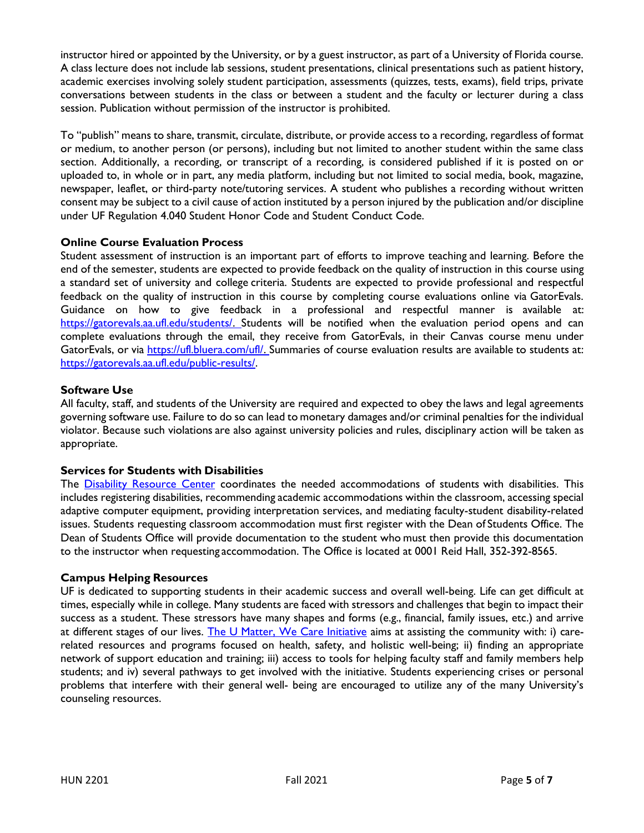instructor hired or appointed by the University, or by a guest instructor, as part of a University of Florida course. A class lecture does not include lab sessions, student presentations, clinical presentations such as patient history, academic exercises involving solely student participation, assessments (quizzes, tests, exams), field trips, private conversations between students in the class or between a student and the faculty or lecturer during a class session. Publication without permission of the instructor is prohibited.

To "publish" means to share, transmit, circulate, distribute, or provide access to a recording, regardless of format or medium, to another person (or persons), including but not limited to another student within the same class section. Additionally, a recording, or transcript of a recording, is considered published if it is posted on or uploaded to, in whole or in part, any media platform, including but not limited to social media, book, magazine, newspaper, leaflet, or third-party note/tutoring services. A student who publishes a recording without written consent may be subject to a civil cause of action instituted by a person injured by the publication and/or discipline under UF Regulation 4.040 Student Honor Code and Student Conduct Code.

## Online Course Evaluation Process

Student assessment of instruction is an important part of efforts to improve teaching and learning. Before the end of the semester, students are expected to provide feedback on the quality of instruction in this course using a standard set of university and college criteria. Students are expected to provide professional and respectful feedback on the quality of instruction in this course by completing course evaluations online via GatorEvals. Guidance on how to give feedback in a professional and respectful manner is available at: https://gatorevals.aa.ufl.edu/students/. Students will be notified when the evaluation period opens and can complete evaluations through the email, they receive from GatorEvals, in their Canvas course menu under GatorEvals, or via https://ufl.bluera.com/ufl/. Summaries of course evaluation results are available to students at: https://gatorevals.aa.ufl.edu/public-results/.

## Software Use

All faculty, staff, and students of the University are required and expected to obey the laws and legal agreements governing software use. Failure to do so can lead to monetary damages and/or criminal penalties for the individual violator. Because such violations are also against university policies and rules, disciplinary action will be taken as appropriate.

#### Services for Students with Disabilities

The Disability Resource Center coordinates the needed accommodations of students with disabilities. This includes registering disabilities, recommending academic accommodations within the classroom, accessing special adaptive computer equipment, providing interpretation services, and mediating faculty-student disability-related issues. Students requesting classroom accommodation must first register with the Dean of Students Office. The Dean of Students Office will provide documentation to the student who must then provide this documentation to the instructor when requesting accommodation. The Office is located at 0001 Reid Hall, 352-392-8565.

#### Campus Helping Resources

UF is dedicated to supporting students in their academic success and overall well-being. Life can get difficult at times, especially while in college. Many students are faced with stressors and challenges that begin to impact their success as a student. These stressors have many shapes and forms (e.g., financial, family issues, etc.) and arrive at different stages of our lives. The U Matter, We Care Initiative aims at assisting the community with: i) carerelated resources and programs focused on health, safety, and holistic well-being; ii) finding an appropriate network of support education and training; iii) access to tools for helping faculty staff and family members help students; and iv) several pathways to get involved with the initiative. Students experiencing crises or personal problems that interfere with their general well- being are encouraged to utilize any of the many University's counseling resources.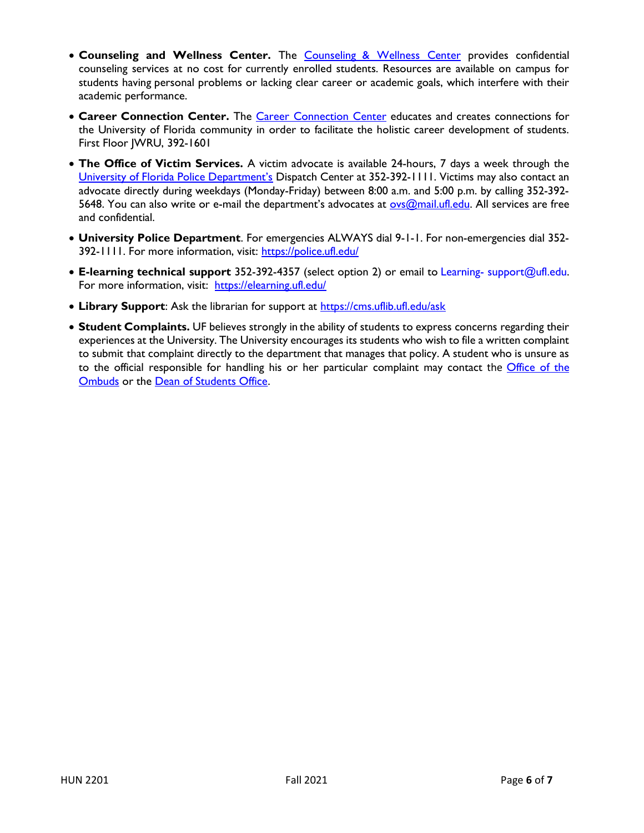- Counseling and Wellness Center. The Counseling & Wellness Center provides confidential counseling services at no cost for currently enrolled students. Resources are available on campus for students having personal problems or lacking clear career or academic goals, which interfere with their academic performance.
- **Career Connection Center.** The Career Connection Center educates and creates connections for the University of Florida community in order to facilitate the holistic career development of students. First Floor JWRU, 392-1601
- The Office of Victim Services. A victim advocate is available 24-hours, 7 days a week through the University of Florida Police Department's Dispatch Center at 352-392-1111. Victims may also contact an advocate directly during weekdays (Monday-Friday) between 8:00 a.m. and 5:00 p.m. by calling 352-392- 5648. You can also write or e-mail the department's advocates at ovs@mail.ufl.edu. All services are free and confidential.
- University Police Department. For emergencies ALWAYS dial 9-1-1. For non-emergencies dial 352-392-1111. For more information, visit: https://police.ufl.edu/
- E-learning technical support 352-392-4357 (select option 2) or email to Learning- support@ufl.edu. For more information, visit: https://elearning.ufl.edu/
- Library Support: Ask the librarian for support at https://cms.uflib.ufl.edu/ask
- Student Complaints. UF believes strongly in the ability of students to express concerns regarding their experiences at the University. The University encourages its students who wish to file a written complaint to submit that complaint directly to the department that manages that policy. A student who is unsure as to the official responsible for handling his or her particular complaint may contact the Office of the Ombuds or the Dean of Students Office.